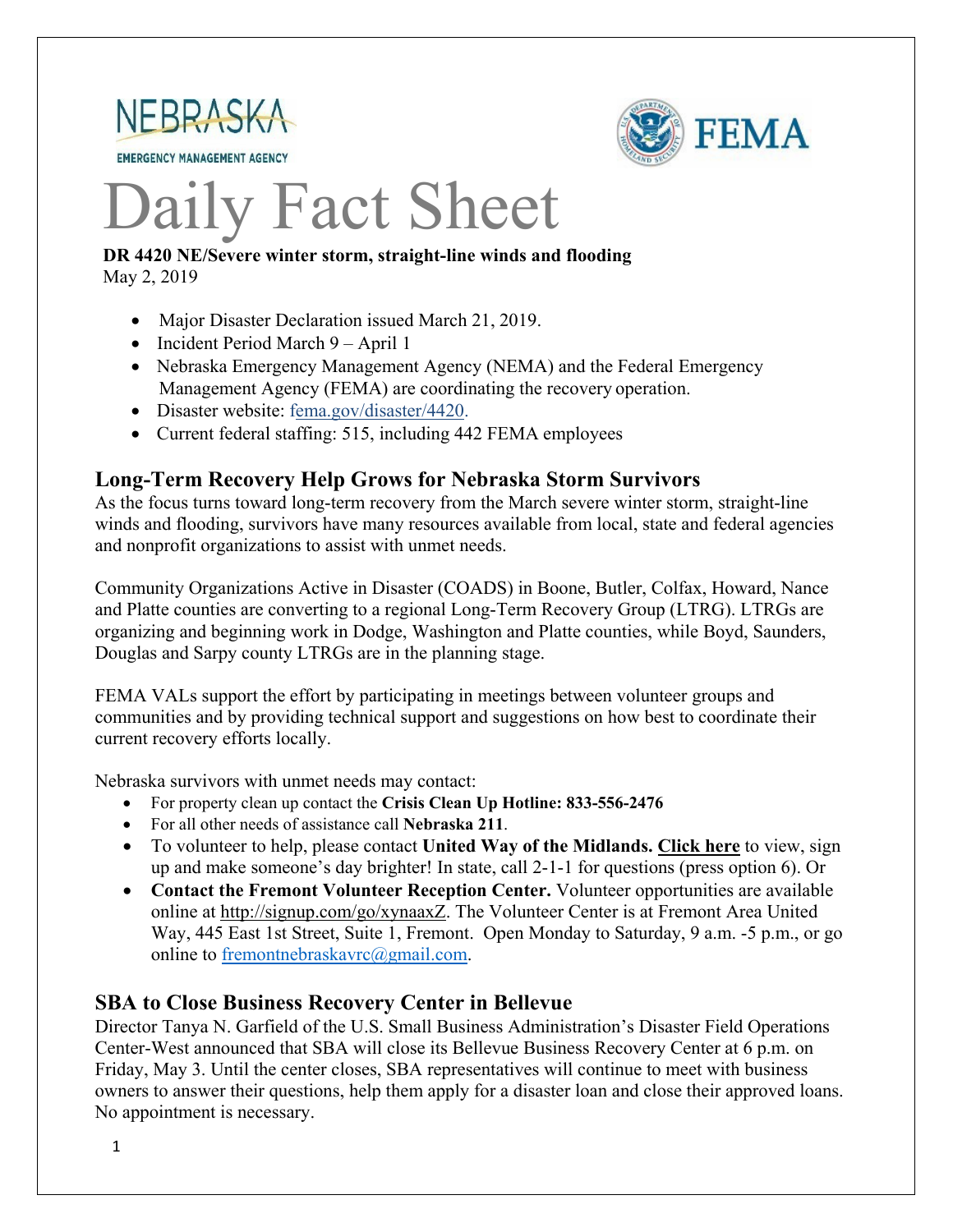

**EMERGENCY MANAGEMENT AGENCY** 



# Daily Fact Sheet

#### **DR 4420 NE/Severe winter storm, straight-line winds and flooding** May 2, 2019

- Major Disaster Declaration issued March 21, 2019.
- Incident Period March 9 April 1
- Nebraska Emergency Management Agency (NEMA) and the Federal Emergency Management Agency (FEMA) are coordinating the recovery operation.
- Disaster website: [fema.gov/disaster/4420.](https://www.fema.gov/disaster/4420)
- Current federal staffing: 515, including 442 FEMA employees

#### **Long-Term Recovery Help Grows for Nebraska Storm Survivors**

As the focus turns toward long-term recovery from the March severe winter storm, straight-line winds and flooding, survivors have many resources available from local, state and federal agencies and nonprofit organizations to assist with unmet needs.

Community Organizations Active in Disaster (COADS) in Boone, Butler, Colfax, Howard, Nance and Platte counties are converting to a regional Long-Term Recovery Group (LTRG). LTRGs are organizing and beginning work in Dodge, Washington and Platte counties, while Boyd, Saunders, Douglas and Sarpy county LTRGs are in the planning stage.

FEMA VALs support the effort by participating in meetings between volunteer groups and communities and by providing technical support and suggestions on how best to coordinate their current recovery efforts locally.

Nebraska survivors with unmet needs may contact:

- For property clean up contact the **Crisis Clean Up Hotline: 833-556-2476**
- For all other needs of assistance call **Nebraska 211**.
- To volunteer to help, please contact **United Way of the Midlands. [Click](https://uwmidlands.galaxydigital.com/need/?s=1&need_init_id=1660) here** to view, sign up and make someone's day brighter! In state, call 2-1-1 for questions (press option 6). Or
- **Contact the Fremont Volunteer Reception Center.** Volunteer opportunities are available online at [http://signup.com/go/xynaaxZ.](http://signup.com/go/xynaaxZ?fbclid=IwAR1m90U2vgYS7ECdb6AHljMooZNkdAfb6i-7s_1hgOCf11d0oi-VMnJcMYY) The Volunteer Center is at Fremont Area United Way, 445 East 1st Street, Suite 1, Fremont. Open Monday to Saturday, 9 a.m. -5 p.m., or go online to [fremontnebraskavrc@gmail.com.](mailto:fremontnebraskavrc@gmail.com)

#### **SBA to Close Business Recovery Center in Bellevue**

Director Tanya N. Garfield of the U.S. Small Business Administration's Disaster Field Operations Center-West announced that SBA will close its Bellevue Business Recovery Center at 6 p.m. on Friday, May 3. Until the center closes, SBA representatives will continue to meet with business owners to answer their questions, help them apply for a disaster loan and close their approved loans. No appointment is necessary.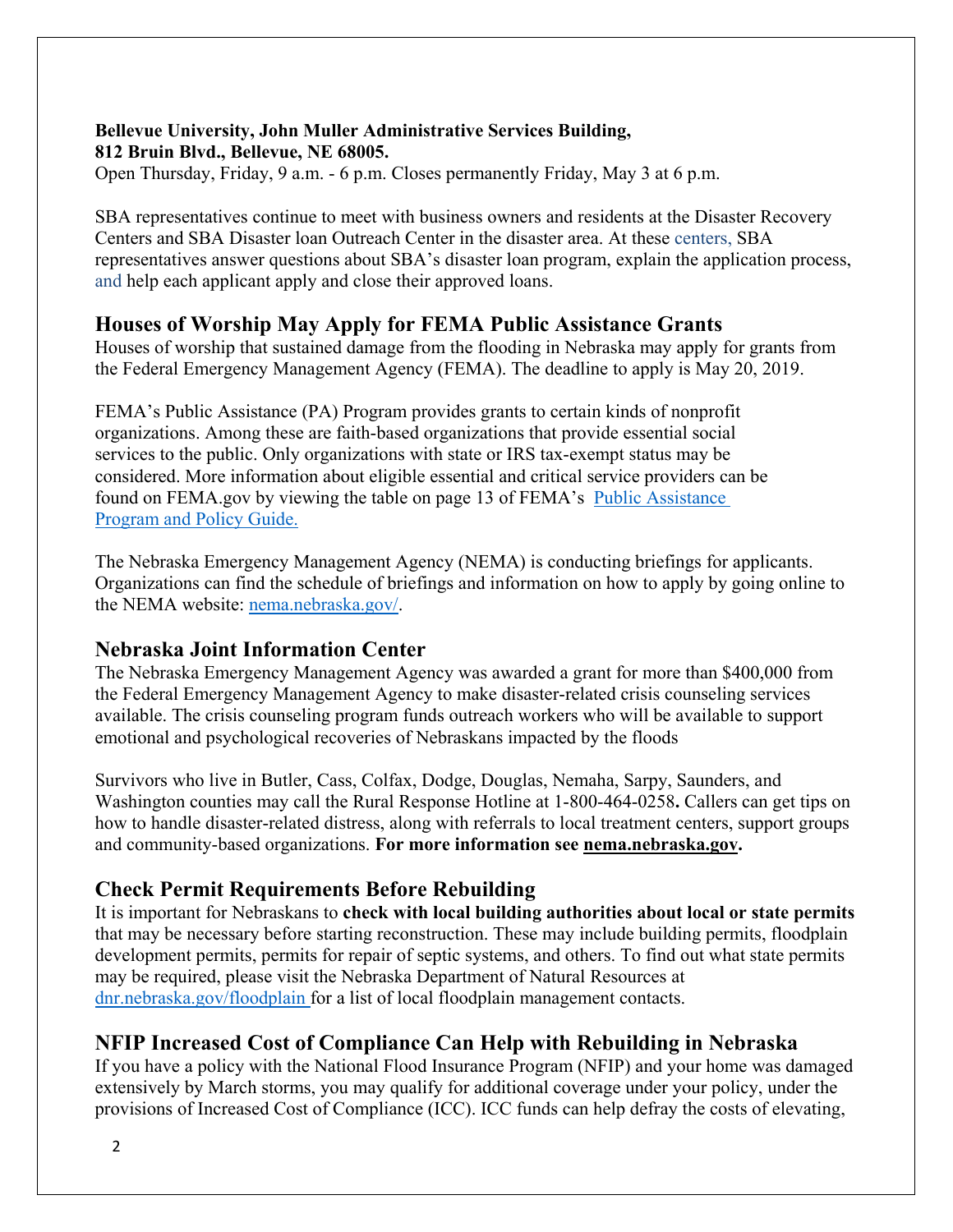## **Bellevue University, John Muller Administrative Services Building, 812 Bruin Blvd., Bellevue, NE 68005.**

Open Thursday, Friday, 9 a.m. - 6 p.m. Closes permanently Friday, May 3 at 6 p.m.

SBA representatives continue to meet with business owners and residents at the Disaster Recovery Centers and SBA Disaster loan Outreach Center in the disaster area. At these centers, SBA representatives answer questions about SBA's disaster loan program, explain the application process, and help each applicant apply and close their approved loans.

## **Houses of Worship May Apply for FEMA Public Assistance Grants**

Houses of worship that sustained damage from the flooding in Nebraska may apply for grants from the Federal Emergency Management Agency (FEMA). The deadline to apply is May 20, 2019.

FEMA's Public Assistance (PA) Program provides grants to certain kinds of nonprofit organizations. Among these are faith-based organizations that provide essential social services to the public. Only organizations with state or IRS tax-exempt status may be considered. More information about eligible essential and critical service providers can be found on FEMA.gov by viewing the table on page 13 of FEMA's [Public Assistance](https://www.fema.gov/media-library-data/1525468328389-4a038bbef9081cd7dfe7538e7751aa9c/PAPPG_3.1_508_FINAL_5-4-2018.pdf)  [Program and Policy Guide.](https://www.fema.gov/media-library-data/1525468328389-4a038bbef9081cd7dfe7538e7751aa9c/PAPPG_3.1_508_FINAL_5-4-2018.pdf)

The Nebraska Emergency Management Agency (NEMA) is conducting briefings for applicants. Organizations can find the schedule of briefings and information on how to apply by going online to the NEMA website: [nema.nebraska.gov/.](https://nema.nebraska.gov/)

## **Nebraska Joint Information Center**

The Nebraska Emergency Management Agency was awarded a grant for more than \$400,000 from the Federal Emergency Management Agency to make disaster-related crisis counseling services available. The crisis counseling program funds outreach workers who will be available to support emotional and psychological recoveries of Nebraskans impacted by the floods

Survivors who live in Butler, Cass, Colfax, Dodge, Douglas, Nemaha, Sarpy, Saunders, and Washington counties may call the Rural Response Hotline at 1-800-464-0258**.** Callers can get tips on how to handle disaster-related distress, along with referrals to local treatment centers, support groups and community-based organizations. **For more information see [nema.nebraska.gov.](file://fema.net/R7/DR/DR-4420-NE/EA/Planning%20and%20Products/Writers/Dale%20Bonza/DFS/nema.nebraska.gov)**

## **Check Permit Requirements Before Rebuilding**

It is important for Nebraskans to **check with local building authorities about local or state permits** that may be necessary before starting reconstruction. These may include building permits, floodplain development permits, permits for repair of septic systems, and others. To find out what state permits may be required, please visit the Nebraska Department of Natural Resources at [dnr.nebraska.gov/floodplain](https://dnr.nebraska.gov/floodplain) for a list of local floodplain management contacts.

## **NFIP Increased Cost of Compliance Can Help with Rebuilding in Nebraska**

If you have a policy with the National Flood Insurance Program (NFIP) and your home was damaged extensively by March storms, you may qualify for additional coverage under your policy, under the provisions of Increased Cost of Compliance (ICC). ICC funds can help defray the costs of elevating,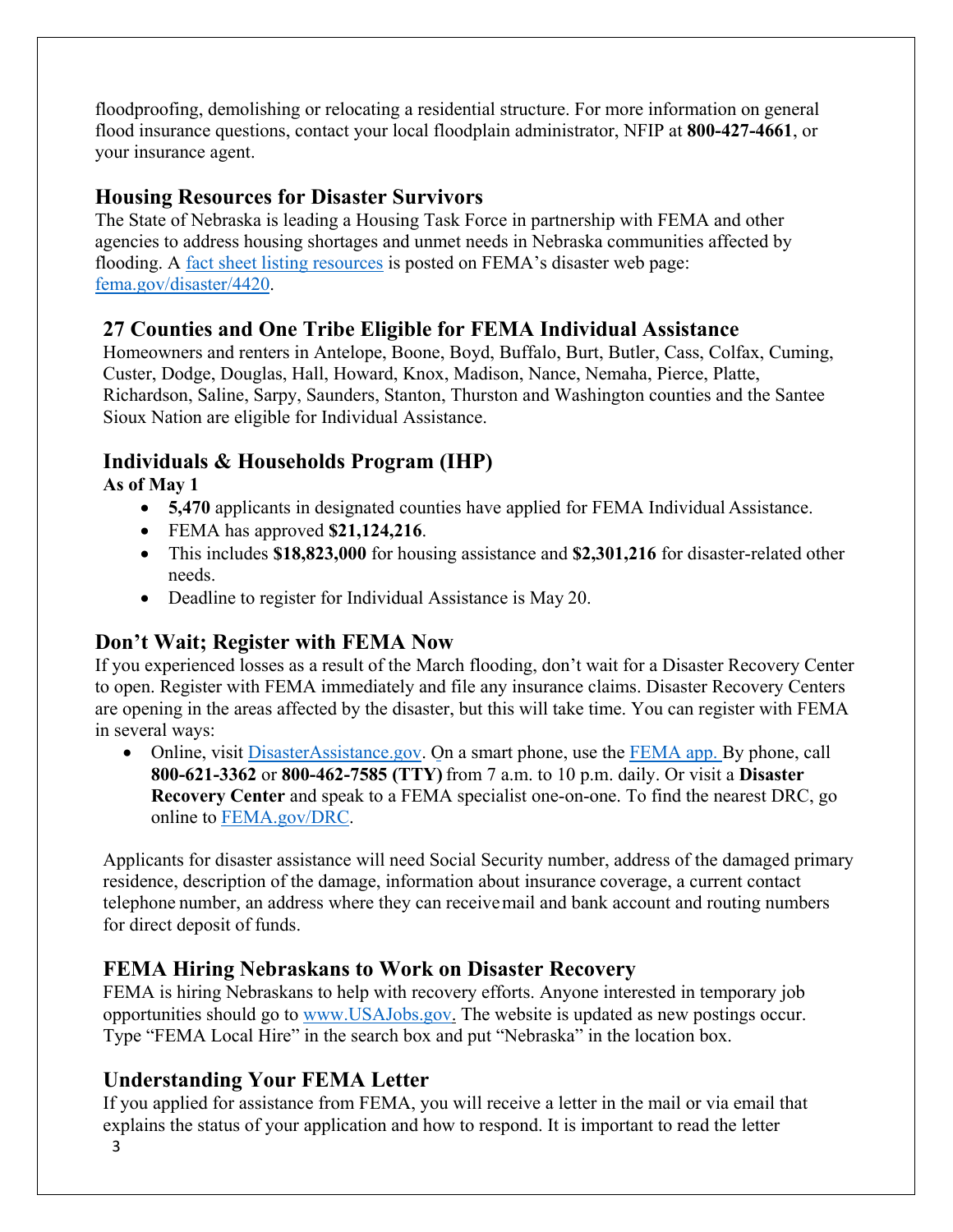floodproofing, demolishing or relocating a residential structure. For more information on general flood insurance questions, contact your local floodplain administrator, NFIP at **800-427-4661**, or your insurance agent.

## **Housing Resources for Disaster Survivors**

The State of Nebraska is leading a Housing Task Force in partnership with FEMA and other agencies to address housing shortages and unmet needs in Nebraska communities affected by flooding. A [fact sheet listing resources](https://edit.fema.gov/news-release/2019/04/19/fact-sheet-housing-resources-residents-nebraska-affected-march-storms-0) is posted on FEMA's disaster web page: [fema.gov/disaster/4420.](http://www.fema.gov/disaster/4420)

## **27 Counties and One Tribe Eligible for FEMA Individual Assistance**

Homeowners and renters in Antelope, Boone, Boyd, Buffalo, Burt, Butler, Cass, Colfax, Cuming, Custer, Dodge, Douglas, Hall, Howard, Knox, Madison, Nance, Nemaha, Pierce, Platte, Richardson, Saline, Sarpy, Saunders, Stanton, Thurston and Washington counties and the Santee Sioux Nation are eligible for Individual Assistance.

## **Individuals & Households Program (IHP)**

**As of May 1**

- **5,470** applicants in designated counties have applied for FEMA Individual Assistance.
- FEMA has approved **\$21,124,216**.
- This includes **\$18,823,000** for housing assistance and **\$2,301,216** for disaster-related other needs.
- Deadline to register for Individual Assistance is May 20.

## **Don't Wait; Register with FEMA Now**

If you experienced losses as a result of the March flooding, don't wait for a Disaster Recovery Center to open. Register with FEMA immediately and file any insurance claims. Disaster Recovery Centers are opening in the areas affected by the disaster, but this will take time. You can register with FEMA in several ways:

• Online, visit [DisasterAssistance.gov.](https://disasterassistance.gov/) On a smart phone, use the [FEMA app.](https://www.fema.gov/mobile-app) By phone, call **800-621-3362** or **800-462-7585 (TTY)** from 7 a.m. to 10 p.m. daily. Or visit a **Disaster Recovery Center** and speak to a FEMA specialist one-on-one. To find the nearest DRC, go online to [FEMA.gov/DRC.](http://www.fema.gov/DRC)

Applicants for disaster assistance will need Social Security number, address of the damaged primary residence, description of the damage, information about insurance coverage, a current contact telephone number, an address where they can receivemail and bank account and routing numbers for direct deposit of funds.

## **FEMA Hiring Nebraskans to Work on Disaster Recovery**

FEMA is hiring Nebraskans to help with recovery efforts. Anyone interested in temporary job opportunities should go to [www.USAJobs.gov.](http://www.usajobs.gov/) The website is updated as new postings occur. Type "FEMA Local Hire" in the search box and put "Nebraska" in the location box.

## **Understanding Your FEMA Letter**

If you applied for assistance from FEMA, you will receive a letter in the mail or via email that explains the status of your application and how to respond. It is important to read the letter

3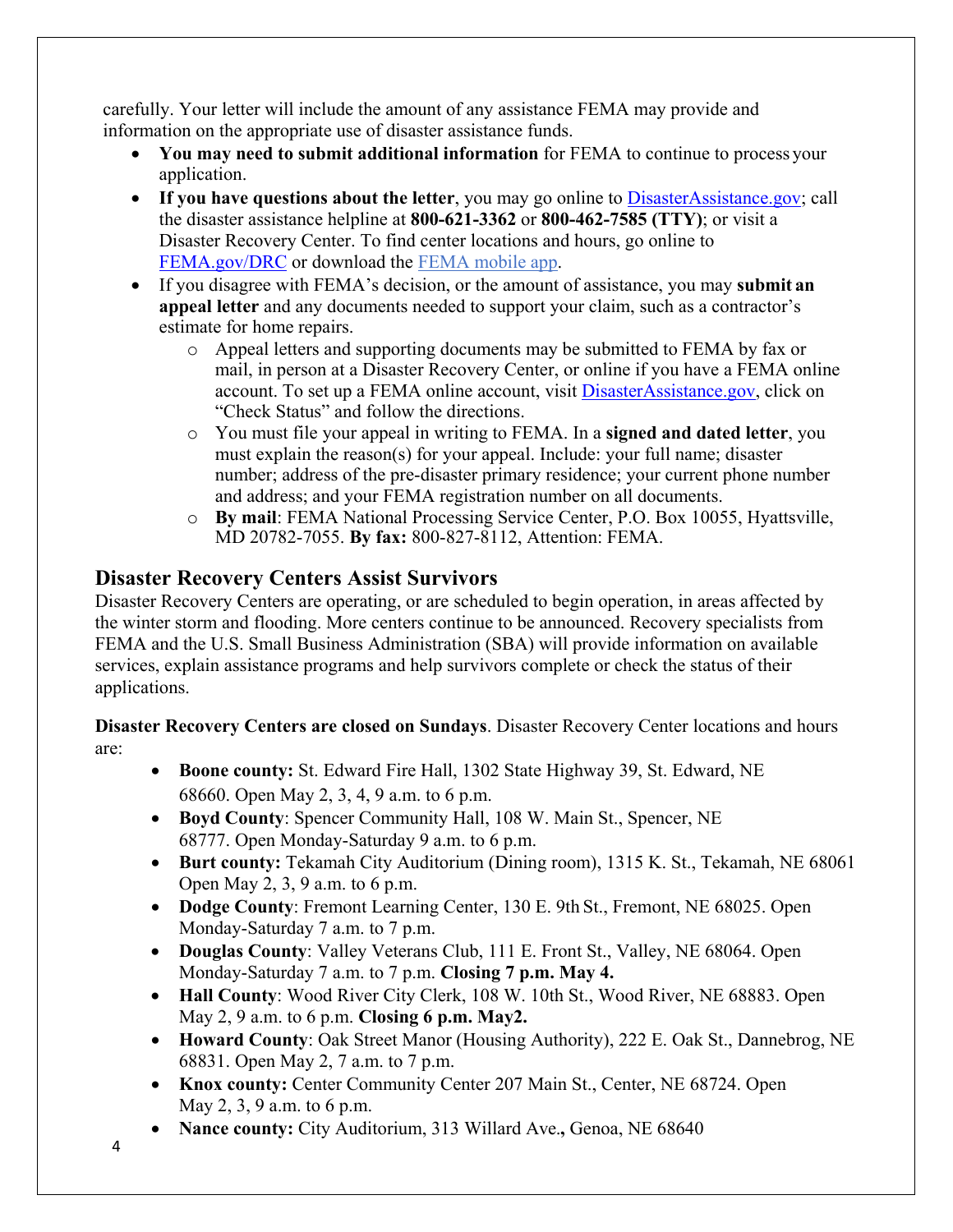carefully. Your letter will include the amount of any assistance FEMA may provide and information on the appropriate use of disaster assistance funds.

- **You may need to submit additional information** for FEMA to continue to process your application.
- If you have questions about the letter, you may go online to [DisasterAssistance.gov;](http://www.disasterassistance.gov/) call the disaster assistance helpline at **800-621-3362** or **800-462-7585 (TTY)**; or visit a Disaster Recovery Center. To find center locations and hours, go online t[o](https://www.fema.gov/disaster-recovery-centers) [FEMA.gov/DRC](https://www.fema.gov/disaster-recovery-centers) or download the [FEMA mobile](https://www.fema.gov/mobile-app) app.
- If you disagree with FEMA's decision, or the amount of assistance, you may **submit an appeal letter** and any documents needed to support your claim, such as a contractor's estimate for home repairs.
	- o Appeal letters and supporting documents may be submitted to FEMA by fax or mail, in person at a Disaster Recovery Center, or online if you have a FEMA online account. To set up a FEMA online account, visit [DisasterAssistance.gov, c](http://www.disasterassistance.gov/)lick on "Check Status" and follow the directions.
	- o You must file your appeal in writing to FEMA. In a **signed and dated letter**, you must explain the reason(s) for your appeal. Include: your full name; disaster number; address of the pre-disaster primary residence; your current phone number and address; and your FEMA registration number on all documents.
	- o **By mail**: FEMA National Processing Service Center, P.O. Box 10055, Hyattsville, MD 20782-7055. **By fax:** 800-827-8112, Attention: FEMA.

## **Disaster Recovery Centers Assist Survivors**

Disaster Recovery Centers are operating, or are scheduled to begin operation, in areas affected by the winter storm and flooding. More centers continue to be announced. Recovery specialists from FEMA and the U.S. Small Business Administration (SBA) will provide information on available services, explain assistance programs and help survivors complete or check the status of their applications.

**Disaster Recovery Centers are closed on Sundays**. Disaster Recovery Center locations and hours are:

- **Boone county:** St. Edward Fire Hall, 1302 State Highway 39, St. Edward, NE 68660. Open May 2, 3, 4, 9 a.m. to 6 p.m.
- **Boyd County**: Spencer Community Hall, 108 W. Main St., Spencer, NE 68777. Open Monday-Saturday 9 a.m. to 6 p.m.
- **Burt county:** Tekamah City Auditorium (Dining room), 1315 K. St., Tekamah, NE 68061 Open May 2, 3, 9 a.m. to 6 p.m.
- **Dodge County**: Fremont Learning Center, 130 E. 9th St., Fremont, NE 68025. Open Monday-Saturday 7 a.m. to 7 p.m.
- **Douglas County**: Valley Veterans Club, 111 E. Front St., Valley, NE 68064. Open Monday-Saturday 7 a.m. to 7 p.m. **Closing 7 p.m. May 4.**
- **Hall County**: Wood River City Clerk, 108 W. 10th St., Wood River, NE 68883. Open May 2, 9 a.m. to 6 p.m. **Closing 6 p.m. May2.**
- **Howard County**: Oak Street Manor (Housing Authority), 222 E. Oak St., Dannebrog, NE 68831. Open May 2, 7 a.m. to 7 p.m.
- **Knox county:** Center Community Center 207 Main St., Center, NE 68724. Open May 2, 3, 9 a.m. to 6 p.m.
- **Nance county:** City Auditorium, 313 Willard Ave.**,** Genoa, NE 68640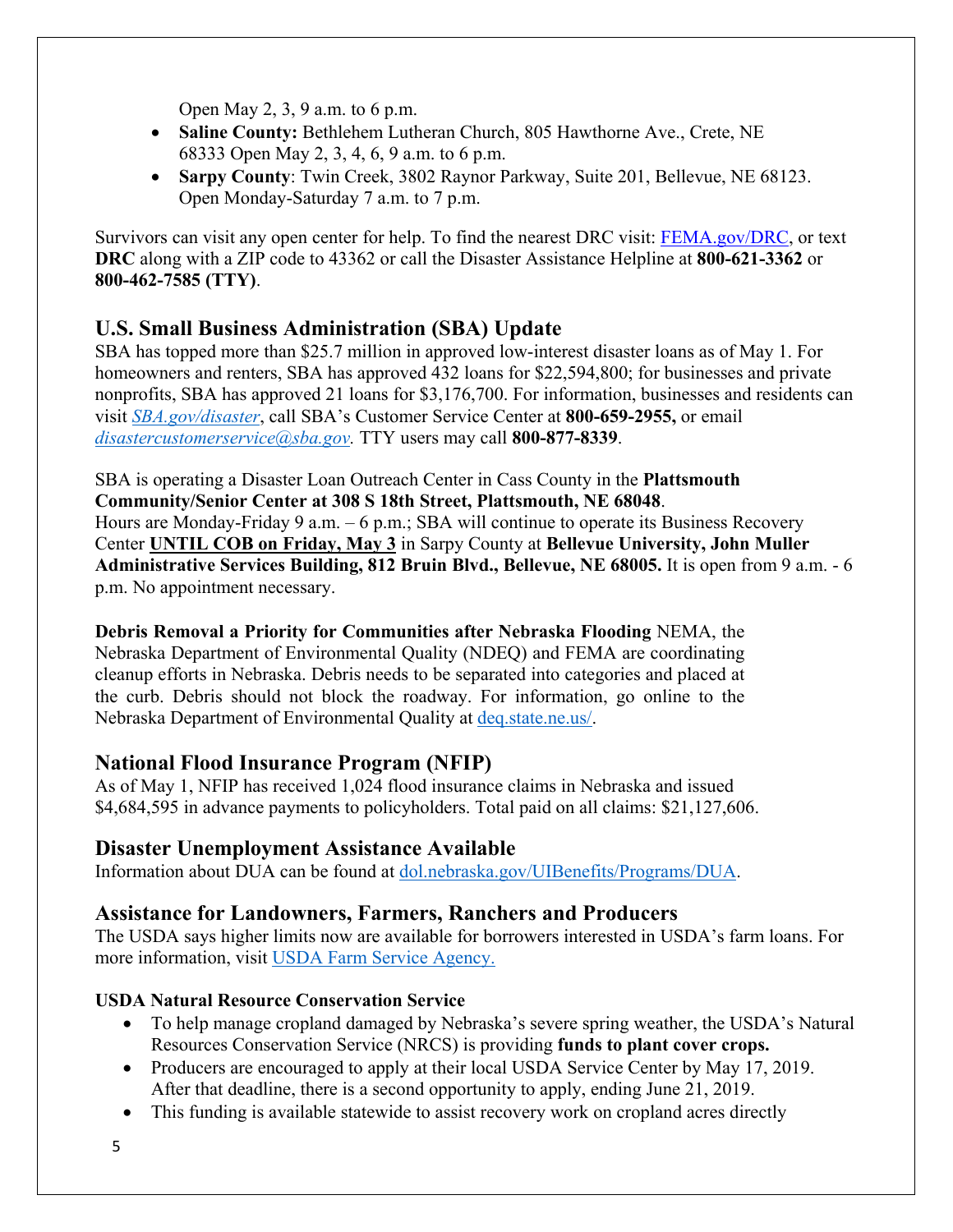Open May 2, 3, 9 a.m. to 6 p.m.

- **Saline County:** Bethlehem Lutheran Church, 805 Hawthorne Ave., Crete, NE 68333 Open May 2, 3, 4, 6, 9 a.m. to 6 p.m.
- **Sarpy County**: Twin Creek, 3802 Raynor Parkway, Suite 201, Bellevue, NE 68123. Open Monday-Saturday 7 a.m. to 7 p.m.

Survivors can visit any open center for help. To find the nearest DRC visit: [FEMA.gov/DRC,](http://www.fema.gov/DRC) or text **DRC** along with a ZIP code to 43362 or call the Disaster Assistance Helpline at **800-621-3362** or **800-462-7585 (TTY)**.

#### **U.S. Small Business Administration (SBA) Update**

SBA has topped more than \$25.7 million in approved low-interest disaster loans as of May 1. For homeowners and renters, SBA has approved 432 loans for \$22,594,800; for businesses and private nonprofits, SBA has approved 21 loans for \$3,176,700. For information, businesses and residents can visit *[SBA.gov/disaster](http://www.sba.gov/disaster)*, call SBA's Customer Service Center at **800-659-2955,** or email *[disastercustomerservice@sba.gov.](mailto:disastercustomerservice@sba.gov)* TTY users may call **800-877-8339**.

SBA is operating a Disaster Loan Outreach Center in Cass County in the **Plattsmouth Community/Senior Center at 308 S 18th Street, Plattsmouth, NE 68048**. Hours are Monday-Friday 9 a.m. – 6 p.m.; SBA will continue to operate its Business Recovery Center **UNTIL COB on Friday, May 3** in Sarpy County at **Bellevue University, John Muller Administrative Services Building, 812 Bruin Blvd., Bellevue, NE 68005.** It is open from 9 a.m. - 6 p.m. No appointment necessary.

**Debris Removal a Priority for Communities after Nebraska Flooding** NEMA, the Nebraska Department of Environmental Quality (NDEQ) and FEMA are coordinating cleanup efforts in Nebraska. Debris needs to be separated into categories and placed at the curb. Debris should not block the roadway. For information, go online to the Nebraska Department of Environmental Quality at [deq.state.ne.us/.](http://www.deq.state.ne.us/)

## **National Flood Insurance Program (NFIP)**

As of May 1, NFIP has received 1,024 flood insurance claims in Nebraska and issued \$4,684,595 in advance payments to policyholders. Total paid on all claims: \$21,127,606.

#### **Disaster Unemployment Assistance Available**

Information about DUA can be found at [dol.nebraska.gov/UIBenefits/Programs/DUA.](https://dol.nebraska.gov/UIBenefits/Programs/DUA)

## **Assistance for Landowners, Farmers, Ranchers and Producers**

The USDA says higher limits now are available for borrowers interested in USDA's farm loans. For more information, visit [USDA Farm Service Agency.](https://www.fsa.usda.gov/)

#### **USDA Natural Resource Conservation Service**

- To help manage cropland damaged by Nebraska's severe spring weather, the USDA's Natural Resources Conservation Service (NRCS) is providing **funds to plant cover crops.**
- Producers are encouraged to apply at their local USDA Service Center by May 17, 2019. After that deadline, there is a second opportunity to apply, ending June 21, 2019.
- This funding is available statewide to assist recovery work on cropland acres directly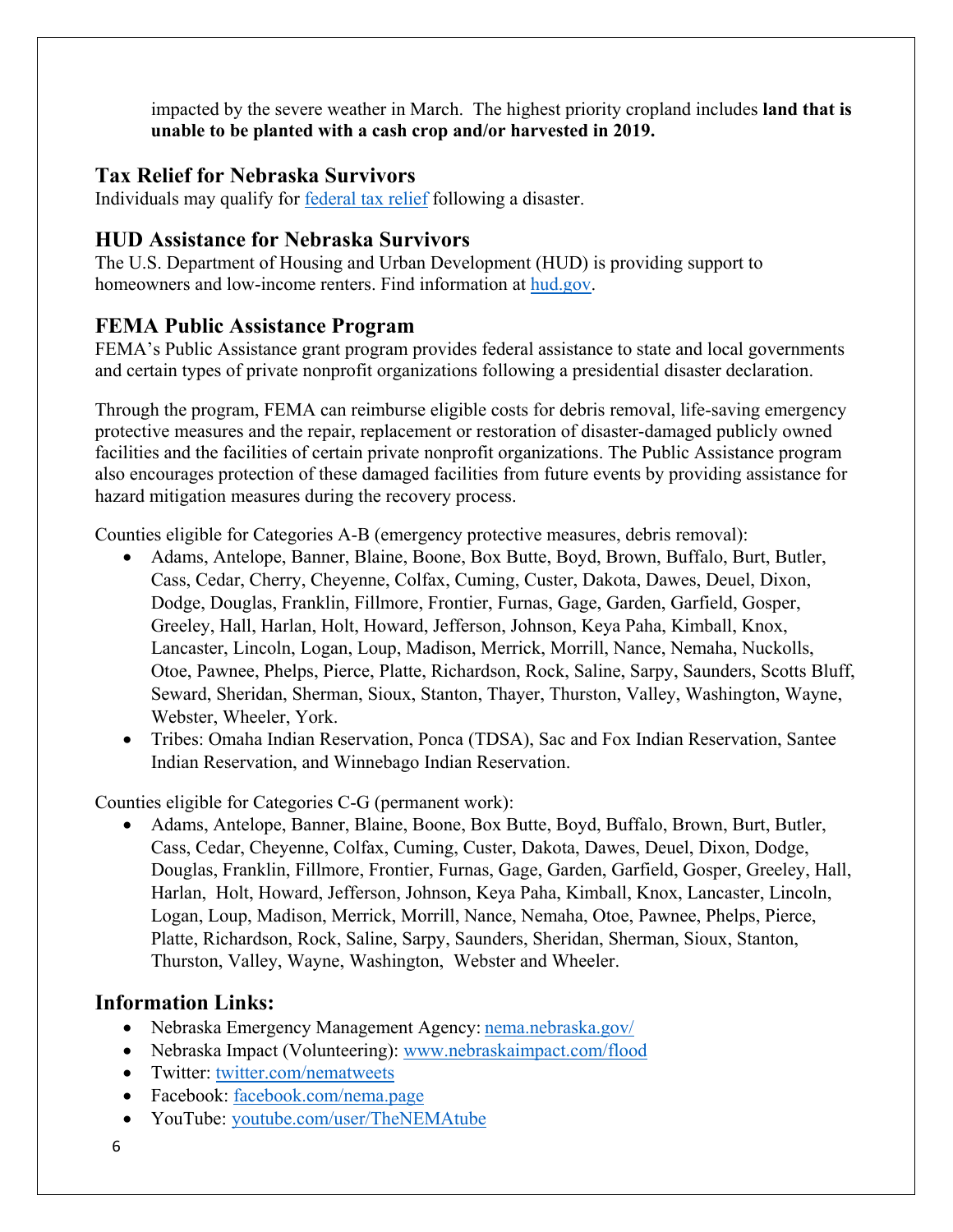impacted by the severe weather in March. The highest priority cropland includes **land that is unable to be planted with a cash crop and/or harvested in 2019.**

#### **Tax Relief for Nebraska Survivors**

Individuals may qualify for federal tax relief [following a disaster.](https://www.irs.gov/newsroom/irs-announces-tax-relief-for-nebraska-victims-of-severe-winter-storm-straight-line-winds-and-flooding)

#### **HUD Assistance for Nebraska Survivors**

The U.S. Department of Housing and Urban Development (HUD) is providing support to homeowners and low-income renters. Find information at [hud.gov.](https://www.hud.gov/)

## **FEMA Public Assistance Program**

FEMA's Public Assistance grant program provides federal assistance to state and local governments and certain types of private nonprofit organizations following a presidential disaster declaration.

Through the program, FEMA can reimburse eligible costs for debris removal, life-saving emergency protective measures and the repair, replacement or restoration of disaster-damaged publicly owned facilities and the facilities of certain private nonprofit organizations. The Public Assistance program also encourages protection of these damaged facilities from future events by providing assistance for hazard mitigation measures during the recovery process.

Counties eligible for Categories A-B (emergency protective measures, debris removal):

- Adams, Antelope, Banner, Blaine, Boone, Box Butte, Boyd, Brown, Buffalo, Burt, Butler, Cass, Cedar, Cherry, Cheyenne, Colfax, Cuming, Custer, Dakota, Dawes, Deuel, Dixon, Dodge, Douglas, Franklin, Fillmore, Frontier, Furnas, Gage, Garden, Garfield, Gosper, Greeley, Hall, Harlan, Holt, Howard, Jefferson, Johnson, Keya Paha, Kimball, Knox, Lancaster, Lincoln, Logan, Loup, Madison, Merrick, Morrill, Nance, Nemaha, Nuckolls, Otoe, Pawnee, Phelps, Pierce, Platte, Richardson, Rock, Saline, Sarpy, Saunders, Scotts Bluff, Seward, Sheridan, Sherman, Sioux, Stanton, Thayer, Thurston, Valley, Washington, Wayne, Webster, Wheeler, York.
- Tribes: Omaha Indian Reservation, Ponca (TDSA), Sac and Fox Indian Reservation, Santee Indian Reservation, and Winnebago Indian Reservation.

Counties eligible for Categories C-G (permanent work):

• Adams, Antelope, Banner, Blaine, Boone, Box Butte, Boyd, Buffalo, Brown, Burt, Butler, Cass, Cedar, Cheyenne, Colfax, Cuming, Custer, Dakota, Dawes, Deuel, Dixon, Dodge, Douglas, Franklin, Fillmore, Frontier, Furnas, Gage, Garden, Garfield, Gosper, Greeley, Hall, Harlan, Holt, Howard, Jefferson, Johnson, Keya Paha, Kimball, Knox, Lancaster, Lincoln, Logan, Loup, Madison, Merrick, Morrill, Nance, Nemaha, Otoe, Pawnee, Phelps, Pierce, Platte, Richardson, Rock, Saline, Sarpy, Saunders, Sheridan, Sherman, Sioux, Stanton, Thurston, Valley, Wayne, Washington, Webster and Wheeler.

## **Information Links:**

- Nebraska Emergency Management Agency: [nema.nebraska.gov/](https://nema.nebraska.gov/)
- Nebraska Impact (Volunteering): [www.nebraskaimpact.com/flood](http://www.nebraskaimpact.com/flood)
- Twitter: [twitter.com/nematweets](https://twitter.com/nematweets)
- Facebook: [facebook.com/nema.page](https://www.facebook.com/nema.page)
- YouTube: [youtube.com/user/TheNEMAtube](https://www.youtube.com/user/TheNEMAtube)
- 6